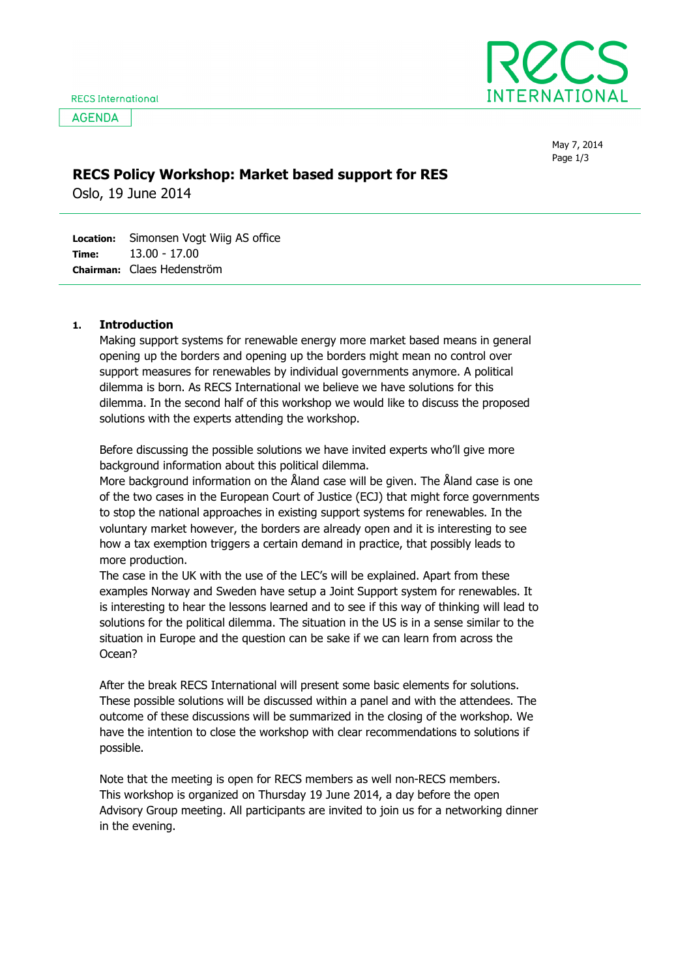**AGENDA** 



May 7, 2014 Page 1/3

## RECS Policy Workshop: Market based support for RES

Oslo, 19 June 2014

Location: Time: Chairman: Claes Hedenström Simonsen Vogt Wiig AS office 13.00 - 17.00

## 1. Introduction

Making support systems for renewable energy more market based means in general opening up the borders and opening up the borders might mean no control over support measures for renewables by individual governments anymore. A political dilemma is born. As RECS International we believe we have solutions for this dilemma. In the second half of this workshop we would like to discuss the proposed solutions with the experts attending the workshop.

Before discussing the possible solutions we have invited experts who'll give more background information about this political dilemma.

More background information on the Åland case will be given. The Åland case is one of the two cases in the European Court of Justice (ECJ) that might force governments to stop the national approaches in existing support systems for renewables. In the voluntary market however, the borders are already open and it is interesting to see how a tax exemption triggers a certain demand in practice, that possibly leads to more production.

The case in the UK with the use of the LEC's will be explained. Apart from these examples Norway and Sweden have setup a Joint Support system for renewables. It is interesting to hear the lessons learned and to see if this way of thinking will lead to solutions for the political dilemma. The situation in the US is in a sense similar to the situation in Europe and the question can be sake if we can learn from across the Ocean?

After the break RECS International will present some basic elements for solutions. These possible solutions will be discussed within a panel and with the attendees. The outcome of these discussions will be summarized in the closing of the workshop. We have the intention to close the workshop with clear recommendations to solutions if possible.

Note that the meeting is open for RECS members as well non-RECS members. This workshop is organized on Thursday 19 June 2014, a day before the open Advisory Group meeting. All participants are invited to join us for a networking dinner in the evening.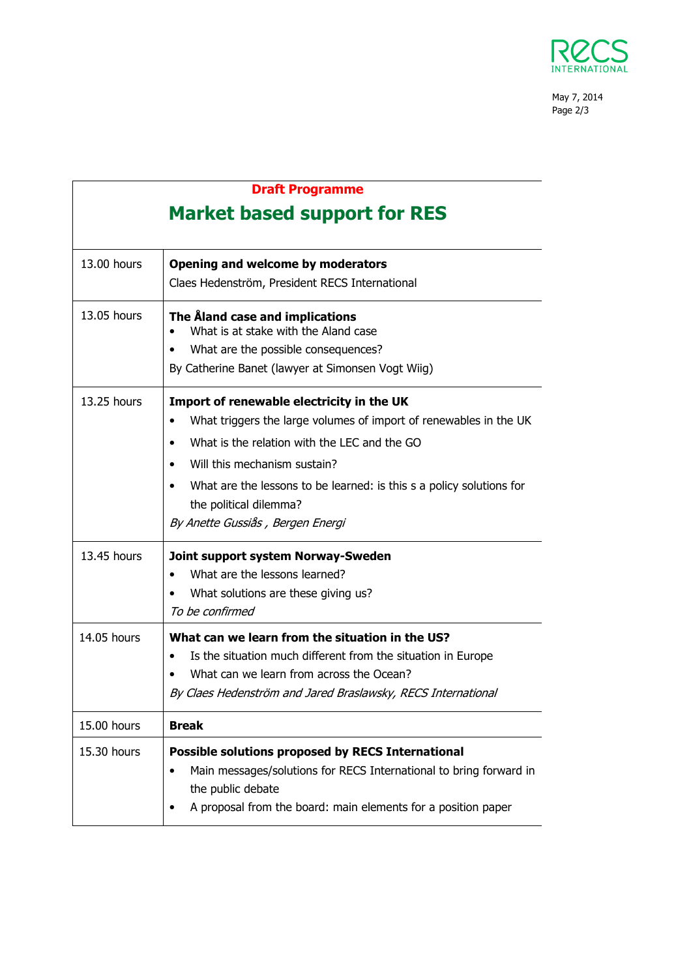

May 7, 2014 Page 2/3

## Draft Programme Market based support for RES

| $13.00$ hours | Opening and welcome by moderators                                                                                                                                                                                                                                                                                                                                           |
|---------------|-----------------------------------------------------------------------------------------------------------------------------------------------------------------------------------------------------------------------------------------------------------------------------------------------------------------------------------------------------------------------------|
|               | Claes Hedenström, President RECS International                                                                                                                                                                                                                                                                                                                              |
| 13.05 hours   | The Åland case and implications<br>What is at stake with the Aland case<br>What are the possible consequences?<br>By Catherine Banet (lawyer at Simonsen Vogt Wiig)                                                                                                                                                                                                         |
| $13.25$ hours | Import of renewable electricity in the UK<br>What triggers the large volumes of import of renewables in the UK<br>$\bullet$<br>What is the relation with the LEC and the GO<br>$\bullet$<br>Will this mechanism sustain?<br>$\bullet$<br>What are the lessons to be learned: is this s a policy solutions for<br>the political dilemma?<br>By Anette Gussiås, Bergen Energi |
| 13.45 hours   | Joint support system Norway-Sweden<br>What are the lessons learned?<br>$\bullet$<br>What solutions are these giving us?<br>To be confirmed                                                                                                                                                                                                                                  |
| 14.05 hours   | What can we learn from the situation in the US?<br>Is the situation much different from the situation in Europe<br>What can we learn from across the Ocean?<br>By Claes Hedenström and Jared Braslawsky, RECS International                                                                                                                                                 |
| 15.00 hours   | <b>Break</b>                                                                                                                                                                                                                                                                                                                                                                |
| 15.30 hours   | Possible solutions proposed by RECS International<br>Main messages/solutions for RECS International to bring forward in<br>the public debate<br>A proposal from the board: main elements for a position paper                                                                                                                                                               |